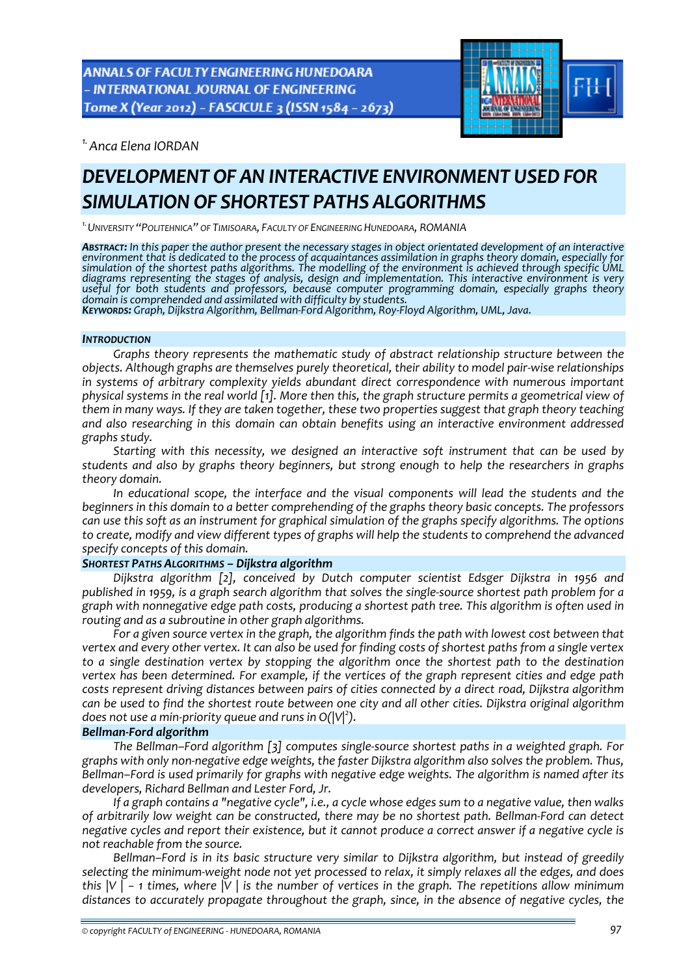**ANNALS OF FACULTY ENGINEERING HUNEDOARA** - INTERNATIONAL JOURNAL OF ENGINEERING Tome X (Year 2012) - FASCICULE 3 (ISSN 1584 - 2673)



*1.Anca Elena IORDAN*

# *DEVELOPMENT OF AN INTERACTIVE ENVIRONMENT USED FOR SIMULATION OF SHORTEST PATHS ALGORITHMS*

*1.UNIVERSITY "POLITEHNICA" OF TIMISOARA, FACULTY OF ENGINEERING HUNEDOARA, ROMANIA*

ABSTRACT: In this paper the author present the necessary stages in object orientated development of an interactive environment that is dedicated to the process of acquaintances assimilation in graphs theory domain, especially for<br>simulation of the shortest paths algorithms. The modelling of the environment is achieved through specific useful for both students and professors, because computer programming domain, especially graphs theory<br>domain is comprehended and assimilated with difficulty by students.<br>KEYWORDS: Graph, Dijkstra Algorithm, Bellman-Ford A

#### *INTRODUCTION*

*Graphs theory represents the mathematic study of abstract relationship structure between the objects. Although graphs are themselves purely theoretical, their ability to model pair‐wise relationships in systems of arbitrary complexity yields abundant direct correspondence with numerous important* physical systems in the real world [1]. More then this, the graph structure permits a geometrical view of *them in many ways. If they are taken together, these two properties suggest that graph theory teaching and also researching in this domain can obtain benefits using an interactive environment addressed graphs study.*

*Starting with this necessity, we designed an interactive soft instrument that can be used by students and also by graphs theory beginners, but strong enough to help the researchers in graphs theory domain.*

*In educational scope, the interface and the visual components will lead the students and the beginners in this domain to a better comprehending of the graphs theory basic concepts. The professors can use this soft as an instrument for graphical simulation of the graphs specify algorithms. The options to create, modify and view different types of graphs will help the students to comprehend the advanced specify concepts of this domain.*

## *SHORTEST PATHS ALGORITHMS – Dijkstra algorithm*

*Dijkstra algorithm [2], conceived by Dutch computer scientist Edsger Dijkstra in 1956 and* published in 1959, is a graph search algorithm that solves the single-source shortest path problem for a *graph with nonnegative edge path costs, producing a shortest path tree. This algorithm is often used in routing and as a subroutine in other graph algorithms.*

*For a given source vertex in the graph, the algorithm finds the path with lowest cost between that* vertex and every other vertex. It can also be used for finding costs of shortest paths from a single vertex *to a single destination vertex by stopping the algorithm once the shortest path to the destination vertex has been determined. For example, if the vertices of the graph represent cities and edge path costs represent driving distances between pairs of cities connected by a direct road, Dijkstra algorithm* can be used to find the shortest route between one city and all other cities. Dijkstra original algorithm *does not use a min‐priority queue and runs in O(|V|<sup>2</sup> ).*

## *Bellman‐Ford algorithm*

*The Bellman–Ford algorithm [3] computes single‐source shortest paths in a weighted graph. For graphs with only non‐negative edge weights, the faster Dijkstra algorithm also solves the problem. Thus, Bellman–Ford is used primarily for graphs with negative edge weights. The algorithm is named after its developers, Richard Bellman and Lester Ford, Jr.*

If a graph contains a "negative cycle", i.e., a cycle whose edges sum to a negative value, then walks of arbitrarily low weight can be constructed, there may be no shortest path. Bellman-Ford can detect negative cycles and report their existence, but it cannot produce a correct answer if a negative cycle is *not reachable from the source.*

*Bellman–Ford is in its basic structure very similar to Dijkstra algorithm, but instead of greedily* selecting the minimum-weight node not yet processed to relax, it simply relaxes all the edges, and does this  $|V|$  – 1 times, where  $|V|$  is the number of vertices in the graph. The repetitions allow minimum *distances to accurately propagate throughout the graph, since, in the absence of negative cycles, the*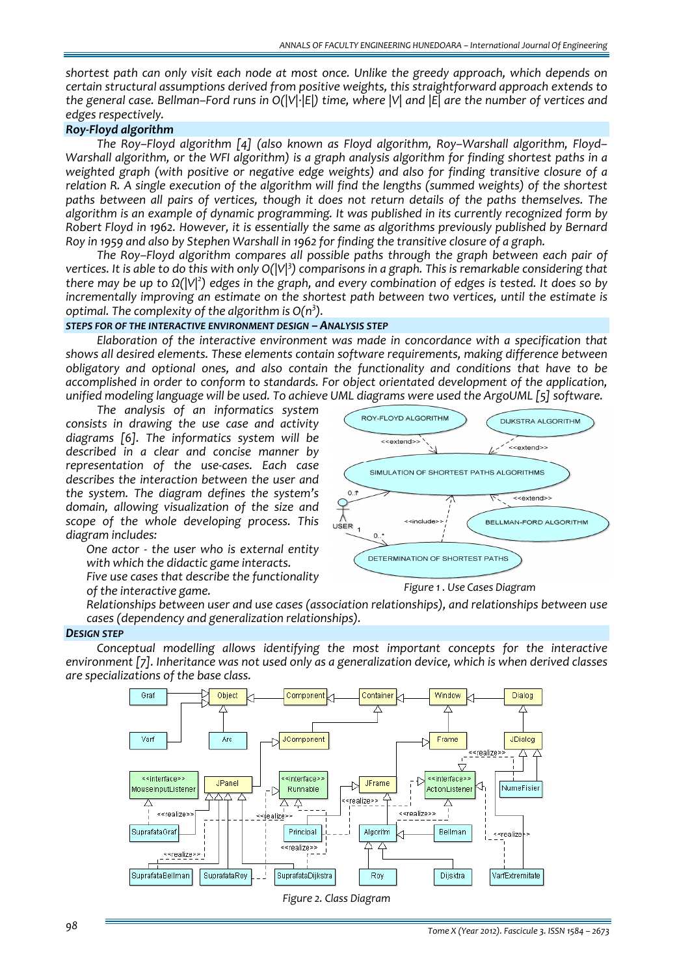*shortest path can only visit each node at most once. Unlike the greedy approach, which depends on certain structural assumptions derived from positive weights, this straightforward approach extends to* the general case. Bellman–Ford runs in O(IVI-IEI) time, where IVI and IEI are the number of vertices and *edges respectively.*

# *Roy‐Floyd algorithm*

*The Roy–Floyd algorithm [4] (also known as Floyd algorithm, Roy–Warshall algorithm, Floyd– Warshall algorithm, or the WFI algorithm) is a graph analysis algorithm for finding shortest paths in a weighted graph (with positive or negative edge weights) and also for finding transitive closure of a relation R. A single execution of the algorithm will find the lengths (summed weights) of the shortest paths between all pairs of vertices, though it does not return details of the paths themselves. The algorithm is an example of dynamic programming. It was published in its currently recognized form by Robert Floyd in 1962. However, it is essentially the same as algorithms previously published by Bernard* Rov in 1959 and also by Stephen Warshall in 1962 for finding the transitive closure of a graph.

*The Roy–Floyd algorithm compares all possible paths through the graph between each pair of* vertices. It is able to do this with only O( $|V|^3$ ) comparisons in a graph. This is remarkable considering that there may be up to  $\Omega(|\mathsf{V}|^2)$  edges in the graph, and every combination of edges is tested. It does so by *incrementally improving an estimate on the shortest path between two vertices, until the estimate is optimal. The complexity of the algorithm is O(n<sup>3</sup> ).*

# *STEPS FOR OF THE INTERACTIVE ENVIRONMENT DESIGN – ANALYSIS STEP*

*Elaboration of the interactive environment was made in concordance with a specification that shows all desired elements. These elements contain software requirements, making difference between obligatory and optional ones, and also contain the functionality and conditions that have to be accomplished in order to conform to standards. For object orientated development of the application, unified modeling language will be used. To achieve UML diagrams were used the ArgoUML [5] software.*

*The analysis of an informatics system consists in drawing the use case and activity diagrams [6]. The informatics system will be described in a clear and concise manner by representation of the use‐cases. Each case describes the interaction between the user and the system. The diagram defines the system's domain, allowing visualization of the size and scope of the whole developing process. This diagram includes:* 

 *One actor ‐ the user who is external entity with which the didactic game interacts. Five use cases that describe the functionality*

*of the interactive game.* 



*Figure 1 . Use Cases Diagram*

 *Relationships between user and use cases (association relationships), and relationships between use cases (dependency and generalization relationships).*

# *DESIGN STEP*

*Conceptual modelling allows identifying the most important concepts for the interactive environment [7]. Inheritance was not used only as a generalization device, which is when derived classes are specializations of the base class.* 



*Figure 2. Class Diagram*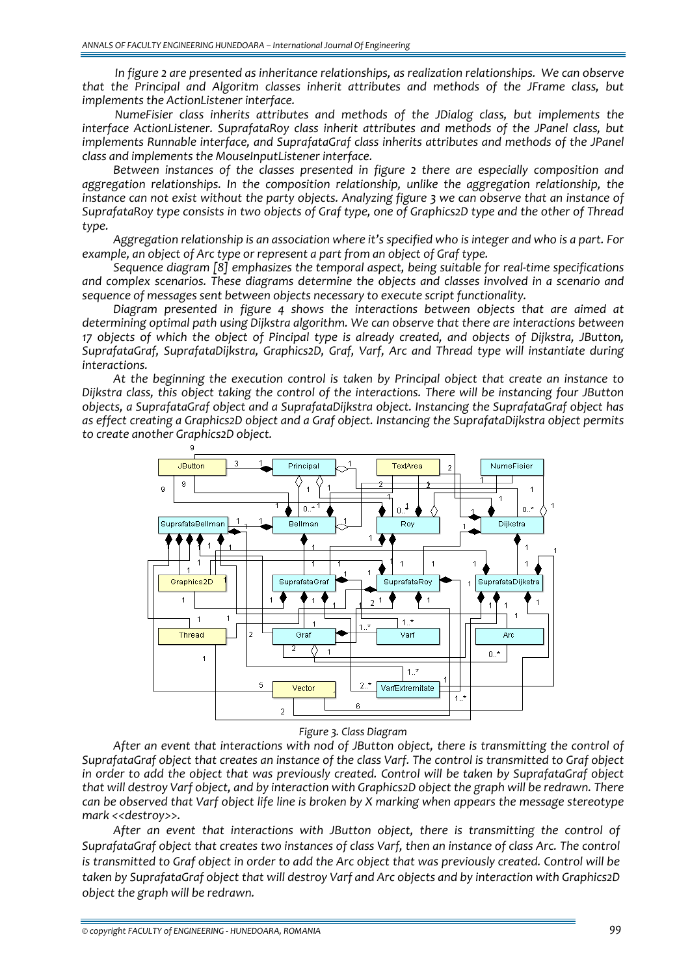*In figure 2 are presented as inheritance relationships, as realization relationships. We can observe that the Principal and Algoritm classes inherit attributes and methods of the JFrame class, but implements the ActionListener interface.* 

*NumeFisier class inherits attributes and methods of the JDialog class, but implements the interface ActionListener. SuprafataRoy class inherit attributes and methods of the JPanel class, but implements Runnable interface, and SuprafataGraf class inherits attributes and methods of the JPanel class and implements the MouseInputListener interface.*

*Between instances of the classes presented in figure 2 there are especially composition and aggregation relationships. In the composition relationship, unlike the aggregation relationship, the* instance can not exist without the party objects. Analyzing figure 3 we can observe that an instance of SuprafataRov type consists in two objects of Graf type, one of Graphics2D type and the other of Thread *type.* 

*Aggregation relationship is an association where it's specified who is integer and who is a part. For example, an object of Arc type or represent a part from an object of Graf type.* 

*Sequence diagram [8] emphasizes the temporal aspect, being suitable for real‐time specifications and complex scenarios. These diagrams determine the objects and classes involved in a scenario and sequence of messages sent between objects necessary to execute script functionality.* 

*Diagram presented in figure 4 shows the interactions between objects that are aimed at determining optimal path using Dijkstra algorithm. We can observe that there are interactions between 17 objects of which the object of Pincipal type is already created, and objects of Dijkstra, JButton, SuprafataGraf, SuprafataDijkstra, Graphics2D, Graf, Varf, Arc and Thread type will instantiate during interactions.*

*At the beginning the execution control is taken by Principal object that create an instance to Dijkstra class, this object taking the control of the interactions. There will be instancing four JButton objects, a SuprafataGraf object and a SuprafataDijkstra object. Instancing the SuprafataGraf object has as effect creating a Graphics2D object and a Graf object. Instancing the SuprafataDijkstra object permits to create another Graphics2D object.* 



*Figure 3. Class Diagram* 

*After an event that interactions with nod of JButton object, there is transmitting the control of* SuprafataGraf object that creates an instance of the class Varf. The control is transmitted to Graf object *in order to add the object that was previously created. Control will be taken by SuprafataGraf object that will destroy Varf object, and by interaction with Graphics2D object the graph will be redrawn. There* can be observed that Varf object life line is broken by X marking when appears the message stereotype *mark <<destroy>>.* 

*After an event that interactions with JButton object, there is transmitting the control of SuprafataGraf object that creates two instances of class Varf, then an instance of class Arc. The control* is transmitted to Graf object in order to add the Arc object that was previously created. Control will be *taken by SuprafataGraf object that will destroy Varf and Arc objects and by interaction with Graphics2D object the graph will be redrawn.*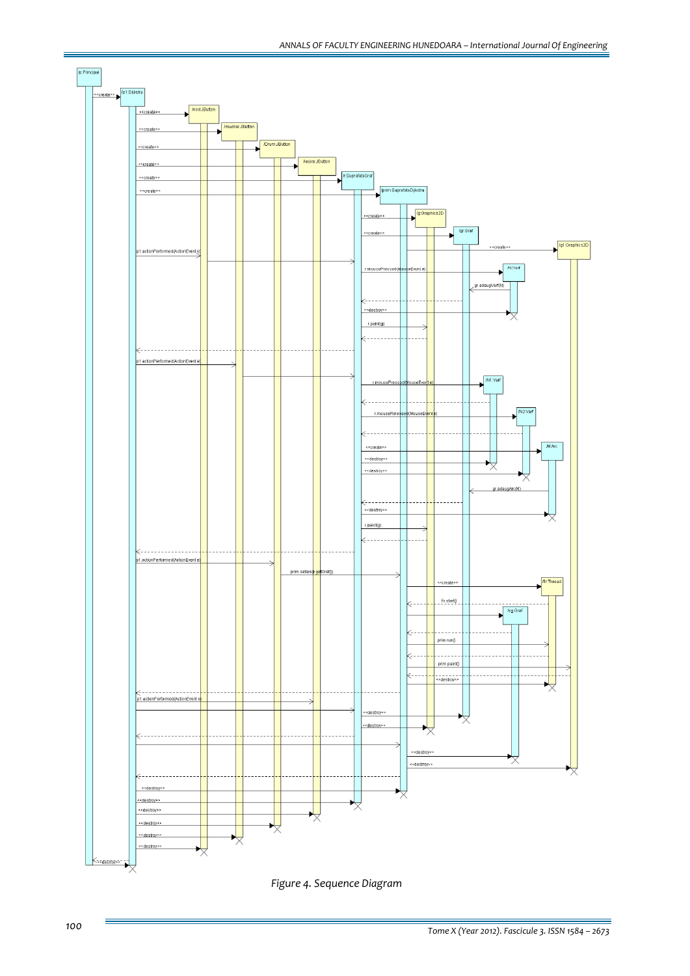

*Figure 4. Sequence Diagram*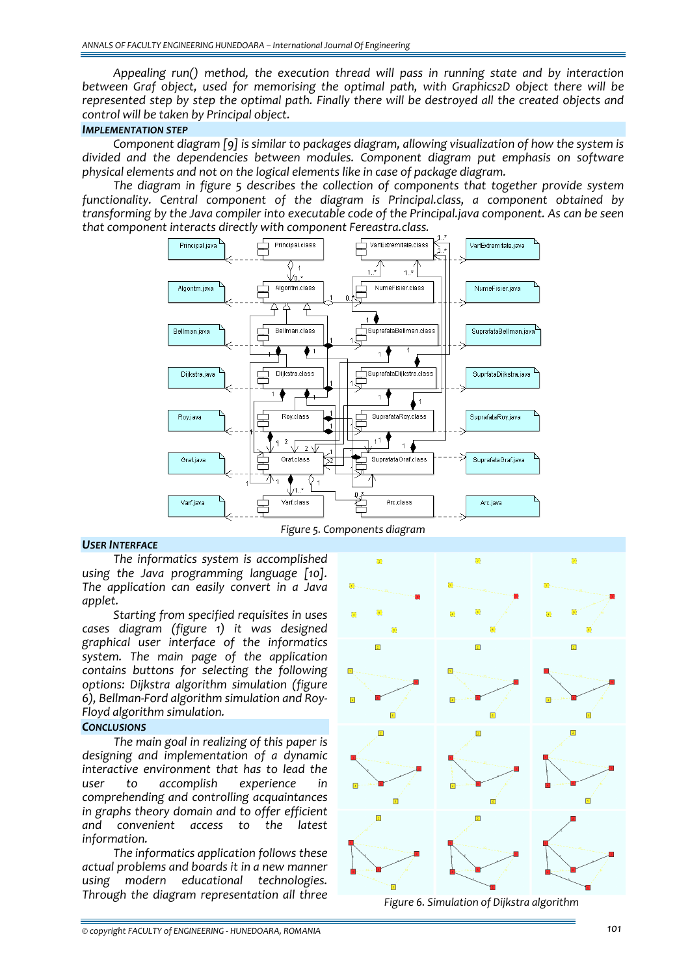*Appealing run() method, the execution thread will pass in running state and by interaction between Graf object, used for memorising the optimal path, with Graphics2D object there will be represented step by step the optimal path. Finally there will be destroyed all the created objects and control will be taken by Principal object.*

## *IMPLEMENTATION STEP*

*Component diagram [9] is similar to packages diagram, allowing visualization of how the system is divided and the dependencies between modules. Component diagram put emphasis on software physical elements and not on the logical elements like in case of package diagram.* 

*The diagram in figure 5 describes the collection of components that together provide system functionality. Central component of the diagram is Principal.class, a component obtained by transforming by the Java compiler into executable code of the Principal.java component. As can be seen that component interacts directly with component Fereastra.class.*



## *USER INTERFACE*

*The informatics system is accomplished using the Java programming language [10]. The application can easily convert in a Java applet.*

*Starting from specified requisites in uses cases diagram (figure 1) it was designed graphical user interface of the informatics system. The main page of the application contains buttons for selecting the following options: Dijkstra algorithm simulation (figure 6), Bellman‐Ford algorithm simulation and Roy‐ Floyd algorithm simulation.* 

## *CONCLUSIONS*

*The main goal in realizing of this paper is designing and implementation of a dynamic interactive environment that has to lead the user to accomplish experience in comprehending and controlling acquaintances in graphs theory domain and to offer efficient and convenient access to the latest information.* 

*The informatics application follows these actual problems and boards it in a new manner using modern educational technologies. Through the diagram representation all three Figure 6. Simulation of Dijkstra algorithm*